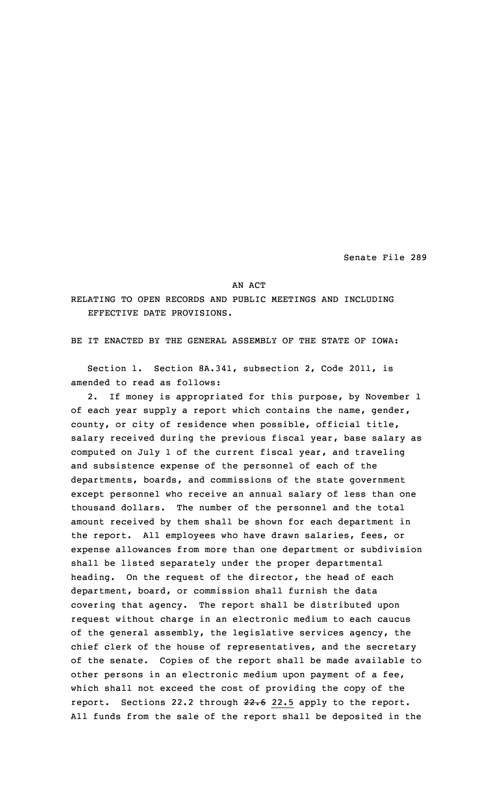Senate File 289

AN ACT

RELATING TO OPEN RECORDS AND PUBLIC MEETINGS AND INCLUDING EFFECTIVE DATE PROVISIONS.

BE IT ENACTED BY THE GENERAL ASSEMBLY OF THE STATE OF IOWA:

Section 1. Section 8A.341, subsection 2, Code 2011, is amended to read as follows:

2. If money is appropriated for this purpose, by November 1 of each year supply <sup>a</sup> report which contains the name, gender, county, or city of residence when possible, official title, salary received during the previous fiscal year, base salary as computed on July 1 of the current fiscal year, and traveling and subsistence expense of the personnel of each of the departments, boards, and commissions of the state government except personnel who receive an annual salary of less than one thousand dollars. The number of the personnel and the total amount received by them shall be shown for each department in the report. All employees who have drawn salaries, fees, or expense allowances from more than one department or subdivision shall be listed separately under the proper departmental heading. On the request of the director, the head of each department, board, or commission shall furnish the data covering that agency. The report shall be distributed upon request without charge in an electronic medium to each caucus of the general assembly, the legislative services agency, the chief clerk of the house of representatives, and the secretary of the senate. Copies of the report shall be made available to other persons in an electronic medium upon payment of <sup>a</sup> fee, which shall not exceed the cost of providing the copy of the report. Sections 22.2 through 22.6 22.5 apply to the report. All funds from the sale of the report shall be deposited in the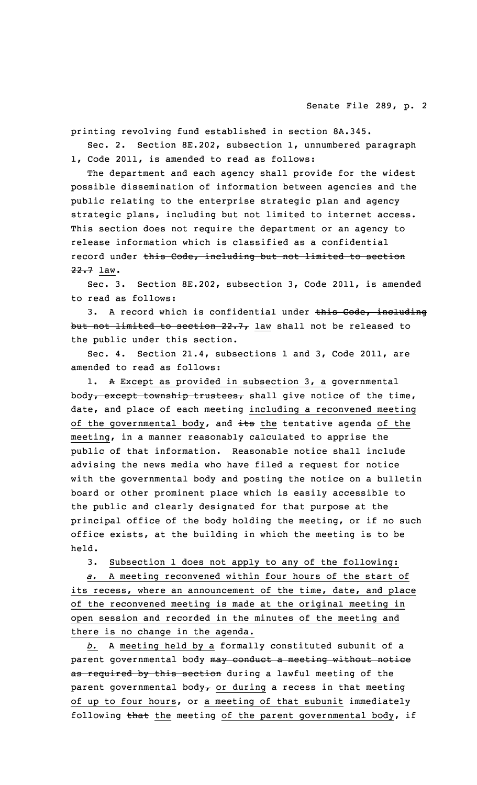printing revolving fund established in section 8A.345.

Sec. 2. Section 8E.202, subsection 1, unnumbered paragraph 1, Code 2011, is amended to read as follows:

The department and each agency shall provide for the widest possible dissemination of information between agencies and the public relating to the enterprise strategic plan and agency strategic plans, including but not limited to internet access. This section does not require the department or an agency to release information which is classified as <sup>a</sup> confidential record under this Code, including but not limited to section 22.7 law.

Sec. 3. Section 8E.202, subsection 3, Code 2011, is amended to read as follows:

3. A record which is confidential under this Code, including but not limited to section 22.7, law shall not be released to the public under this section.

Sec. 4. Section 21.4, subsections 1 and 3, Code 2011, are amended to read as follows:

1. <sup>A</sup> Except as provided in subsection 3, <sup>a</sup> governmental body, except township trustees, shall give notice of the time, date, and place of each meeting including <sup>a</sup> reconvened meeting of the governmental body, and its the tentative agenda of the meeting, in <sup>a</sup> manner reasonably calculated to apprise the public of that information. Reasonable notice shall include advising the news media who have filed <sup>a</sup> request for notice with the governmental body and posting the notice on <sup>a</sup> bulletin board or other prominent place which is easily accessible to the public and clearly designated for that purpose at the principal office of the body holding the meeting, or if no such office exists, at the building in which the meeting is to be held.

3. Subsection 1 does not apply to any of the following:

*a.* <sup>A</sup> meeting reconvened within four hours of the start of its recess, where an announcement of the time, date, and place of the reconvened meeting is made at the original meeting in open session and recorded in the minutes of the meeting and there is no change in the agenda.

*b.* <sup>A</sup> meeting held by <sup>a</sup> formally constituted subunit of <sup>a</sup> parent governmental body may conduct a meeting without notice as required by this section during a lawful meeting of the parent governmental body<sub> $\tau$ </sub> or during a recess in that meeting of up to four hours, or <sup>a</sup> meeting of that subunit immediately following that the meeting of the parent governmental body, if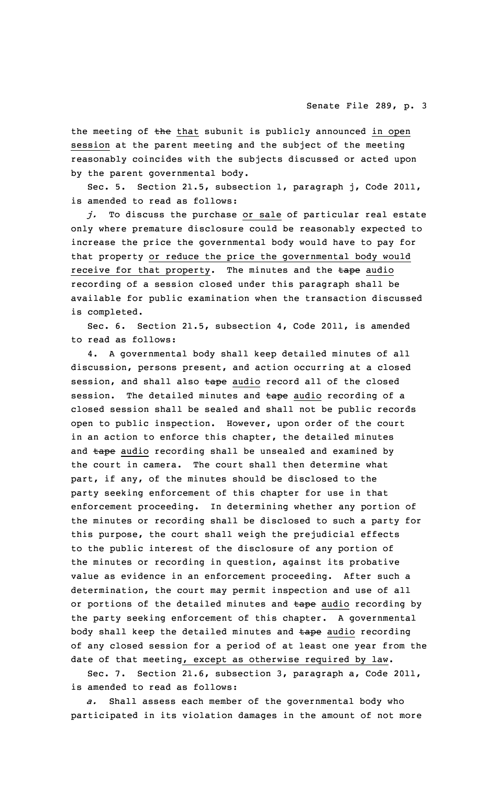the meeting of the that subunit is publicly announced in open session at the parent meeting and the subject of the meeting reasonably coincides with the subjects discussed or acted upon by the parent governmental body.

Sec. 5. Section 21.5, subsection 1, paragraph j, Code 2011, is amended to read as follows:

*j.* To discuss the purchase or sale of particular real estate only where premature disclosure could be reasonably expected to increase the price the governmental body would have to pay for that property or reduce the price the governmental body would receive for that property. The minutes and the tape audio recording of <sup>a</sup> session closed under this paragraph shall be available for public examination when the transaction discussed is completed.

Sec. 6. Section 21.5, subsection 4, Code 2011, is amended to read as follows:

4. <sup>A</sup> governmental body shall keep detailed minutes of all discussion, persons present, and action occurring at <sup>a</sup> closed session, and shall also tape audio record all of the closed session. The detailed minutes and tape audio recording of a closed session shall be sealed and shall not be public records open to public inspection. However, upon order of the court in an action to enforce this chapter, the detailed minutes and tape audio recording shall be unsealed and examined by the court in camera. The court shall then determine what part, if any, of the minutes should be disclosed to the party seeking enforcement of this chapter for use in that enforcement proceeding. In determining whether any portion of the minutes or recording shall be disclosed to such <sup>a</sup> party for this purpose, the court shall weigh the prejudicial effects to the public interest of the disclosure of any portion of the minutes or recording in question, against its probative value as evidence in an enforcement proceeding. After such <sup>a</sup> determination, the court may permit inspection and use of all or portions of the detailed minutes and tape audio recording by the party seeking enforcement of this chapter. <sup>A</sup> governmental body shall keep the detailed minutes and tape audio recording of any closed session for <sup>a</sup> period of at least one year from the date of that meeting, except as otherwise required by law.

Sec. 7. Section 21.6, subsection 3, paragraph a, Code 2011, is amended to read as follows:

*a.* Shall assess each member of the governmental body who participated in its violation damages in the amount of not more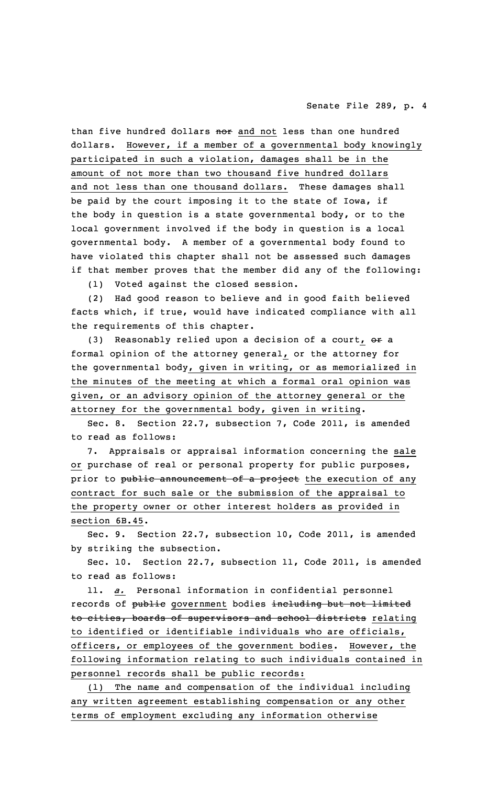## Senate File 289, p. 4

than five hundred dollars nor and not less than one hundred dollars. However, if <sup>a</sup> member of <sup>a</sup> governmental body knowingly participated in such <sup>a</sup> violation, damages shall be in the amount of not more than two thousand five hundred dollars and not less than one thousand dollars. These damages shall be paid by the court imposing it to the state of Iowa, if the body in question is <sup>a</sup> state governmental body, or to the local government involved if the body in question is <sup>a</sup> local governmental body. <sup>A</sup> member of <sup>a</sup> governmental body found to have violated this chapter shall not be assessed such damages if that member proves that the member did any of the following:

(1) Voted against the closed session.

(2) Had good reason to believe and in good faith believed facts which, if true, would have indicated compliance with all the requirements of this chapter.

(3) Reasonably relied upon a decision of a court, or a formal opinion of the attorney general, or the attorney for the governmental body, given in writing, or as memorialized in the minutes of the meeting at which <sup>a</sup> formal oral opinion was given, or an advisory opinion of the attorney general or the attorney for the governmental body, given in writing.

Sec. 8. Section 22.7, subsection 7, Code 2011, is amended to read as follows:

7. Appraisals or appraisal information concerning the sale or purchase of real or personal property for public purposes, prior to public announcement of a project the execution of any contract for such sale or the submission of the appraisal to the property owner or other interest holders as provided in section 6B.45.

Sec. 9. Section 22.7, subsection 10, Code 2011, is amended by striking the subsection.

Sec. 10. Section 22.7, subsection 11, Code 2011, is amended to read as follows:

11. *a.* Personal information in confidential personnel records of public government bodies including but not limited to cities, boards of supervisors and school districts relating to identified or identifiable individuals who are officials, officers, or employees of the government bodies. However, the following information relating to such individuals contained in personnel records shall be public records:

(1) The name and compensation of the individual including any written agreement establishing compensation or any other terms of employment excluding any information otherwise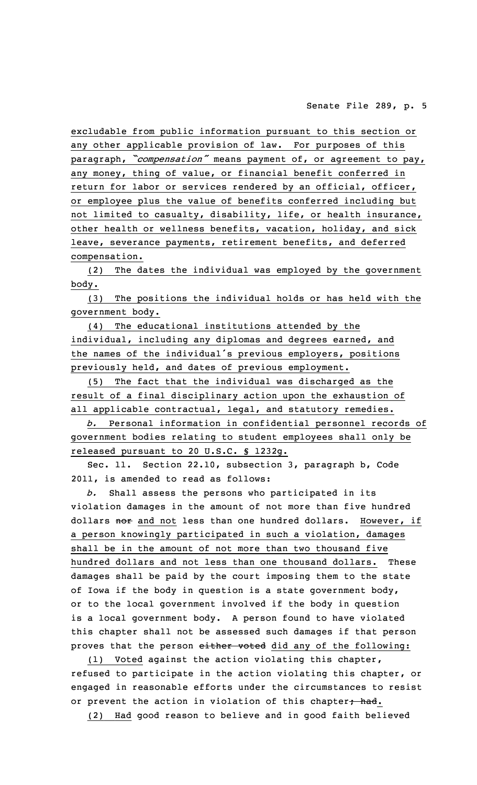excludable from public information pursuant to this section or any other applicable provision of law. For purposes of this paragraph, *"compensation"* means payment of, or agreement to pay, any money, thing of value, or financial benefit conferred in return for labor or services rendered by an official, officer, or employee plus the value of benefits conferred including but not limited to casualty, disability, life, or health insurance, other health or wellness benefits, vacation, holiday, and sick leave, severance payments, retirement benefits, and deferred compensation.

(2) The dates the individual was employed by the government body.

(3) The positions the individual holds or has held with the government body.

(4) The educational institutions attended by the individual, including any diplomas and degrees earned, and the names of the individual's previous employers, positions previously held, and dates of previous employment.

(5) The fact that the individual was discharged as the result of <sup>a</sup> final disciplinary action upon the exhaustion of all applicable contractual, legal, and statutory remedies.

*b.* Personal information in confidential personnel records of government bodies relating to student employees shall only be released pursuant to 20 U.S.C. § 1232g.

Sec. 11. Section 22.10, subsection 3, paragraph b, Code 2011, is amended to read as follows:

*b.* Shall assess the persons who participated in its violation damages in the amount of not more than five hundred dollars nor and not less than one hundred dollars. However, if <sup>a</sup> person knowingly participated in such <sup>a</sup> violation, damages shall be in the amount of not more than two thousand five hundred dollars and not less than one thousand dollars. These damages shall be paid by the court imposing them to the state of Iowa if the body in question is <sup>a</sup> state government body, or to the local government involved if the body in question is <sup>a</sup> local government body. <sup>A</sup> person found to have violated this chapter shall not be assessed such damages if that person proves that the person either voted did any of the following:

(1) Voted against the action violating this chapter, refused to participate in the action violating this chapter, or engaged in reasonable efforts under the circumstances to resist or prevent the action in violation of this chapter, had.

(2) Had good reason to believe and in good faith believed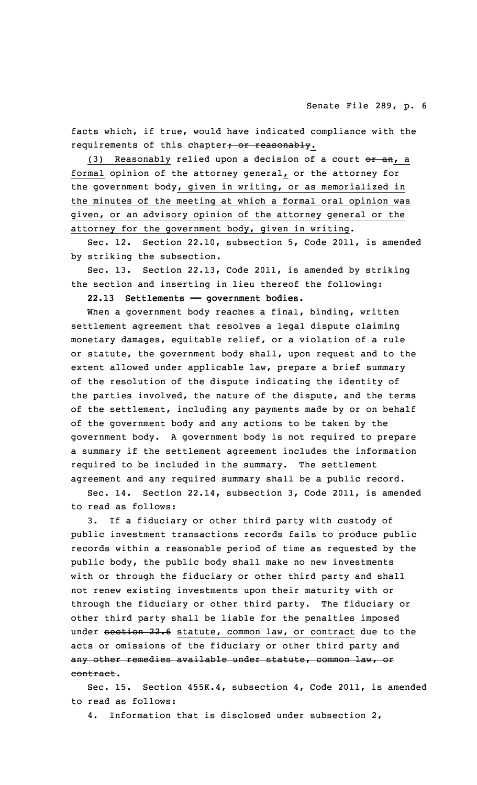facts which, if true, would have indicated compliance with the requirements of this chapter; or reasonably.

(3) Reasonably relied upon a decision of a court or an, a formal opinion of the attorney general, or the attorney for the government body, given in writing, or as memorialized in the minutes of the meeting at which <sup>a</sup> formal oral opinion was given, or an advisory opinion of the attorney general or the attorney for the government body, given in writing.

Sec. 12. Section 22.10, subsection 5, Code 2011, is amended by striking the subsection.

Sec. 13. Section 22.13, Code 2011, is amended by striking the section and inserting in lieu thereof the following:

**22.13 Settlements —— government bodies.**

When a government body reaches a final, binding, written settlement agreement that resolves <sup>a</sup> legal dispute claiming monetary damages, equitable relief, or <sup>a</sup> violation of <sup>a</sup> rule or statute, the government body shall, upon request and to the extent allowed under applicable law, prepare <sup>a</sup> brief summary of the resolution of the dispute indicating the identity of the parties involved, the nature of the dispute, and the terms of the settlement, including any payments made by or on behalf of the government body and any actions to be taken by the government body. <sup>A</sup> government body is not required to prepare <sup>a</sup> summary if the settlement agreement includes the information required to be included in the summary. The settlement agreement and any required summary shall be <sup>a</sup> public record.

Sec. 14. Section 22.14, subsection 3, Code 2011, is amended to read as follows:

3. If <sup>a</sup> fiduciary or other third party with custody of public investment transactions records fails to produce public records within <sup>a</sup> reasonable period of time as requested by the public body, the public body shall make no new investments with or through the fiduciary or other third party and shall not renew existing investments upon their maturity with or through the fiduciary or other third party. The fiduciary or other third party shall be liable for the penalties imposed under section 22.6 statute, common law, or contract due to the acts or omissions of the fiduciary or other third party and any other remedies available under statute, common law, or contract.

Sec. 15. Section 455K.4, subsection 4, Code 2011, is amended to read as follows:

4. Information that is disclosed under subsection 2,